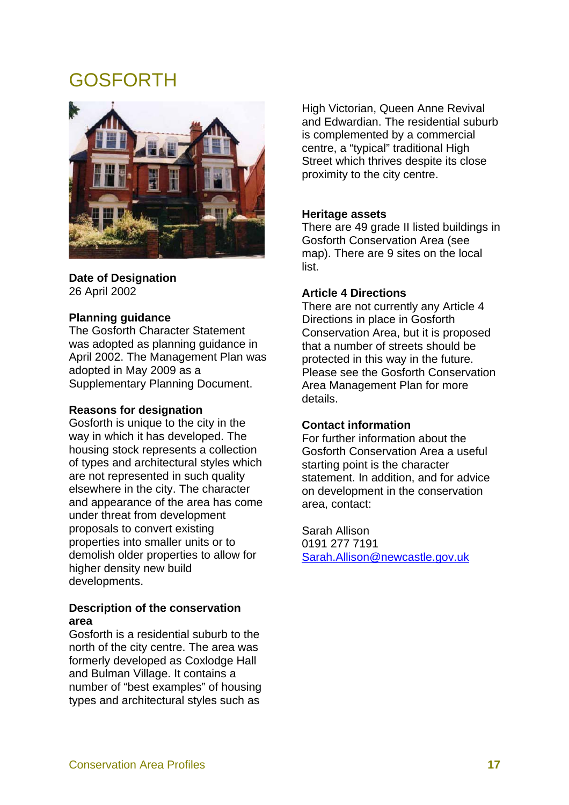# GOSFORTH



#### **Date of Designation**  26 April 2002

## **Planning guidance**

The Gosforth Character Statement was adopted as planning guidance in April 2002. The Management Plan was adopted in May 2009 as a Supplementary Planning Document.

#### **Reasons for designation**

Gosforth is unique to the city in the way in which it has developed. The housing stock represents a collection of types and architectural styles which are not represented in such quality elsewhere in the city. The character and appearance of the area has come under threat from development proposals to convert existing properties into smaller units or to demolish older properties to allow for higher density new build developments.

## **Description of the conservation area**

Gosforth is a residential suburb to the north of the city centre. The area was formerly developed as Coxlodge Hall and Bulman Village. It contains a number of "best examples" of housing types and architectural styles such as

High Victorian, Queen Anne Revival and Edwardian. The residential suburb is complemented by a commercial centre, a "typical" traditional High Street which thrives despite its close proximity to the city centre.

## **Heritage assets**

There are 49 grade II listed buildings in Gosforth Conservation Area (see map). There are 9 sites on the local list.

#### **Article 4 Directions**

There are not currently any Article 4 Directions in place in Gosforth Conservation Area, but it is proposed that a number of streets should be protected in this way in the future. Please see the Gosforth Conservation Area Management Plan for more details.

## **Contact information**

For further information about the Gosforth Conservation Area a useful starting point is the character statement. In addition, and for advice on development in the conservation area, contact:

Sarah Allison 0191 277 7191 Sarah.Allison@newcastle.gov.uk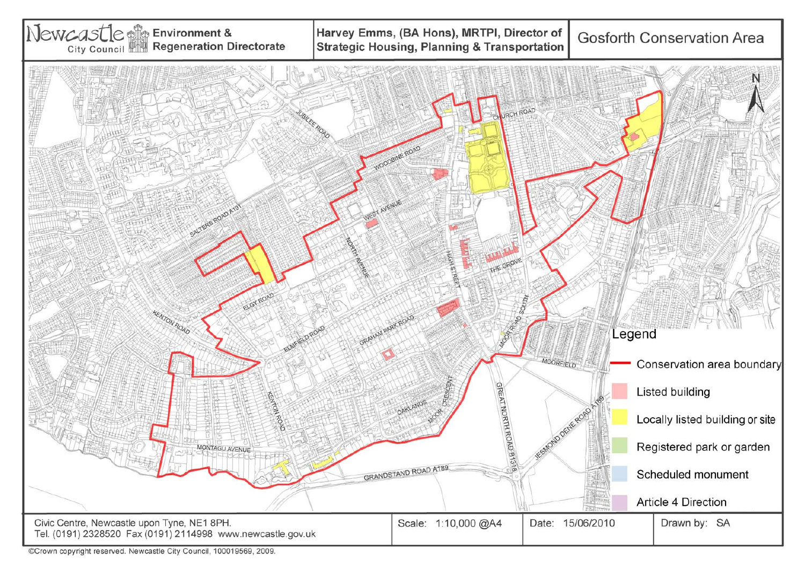

©Crown copyright reserved. Newcastle City Council, 100019569, 2009.